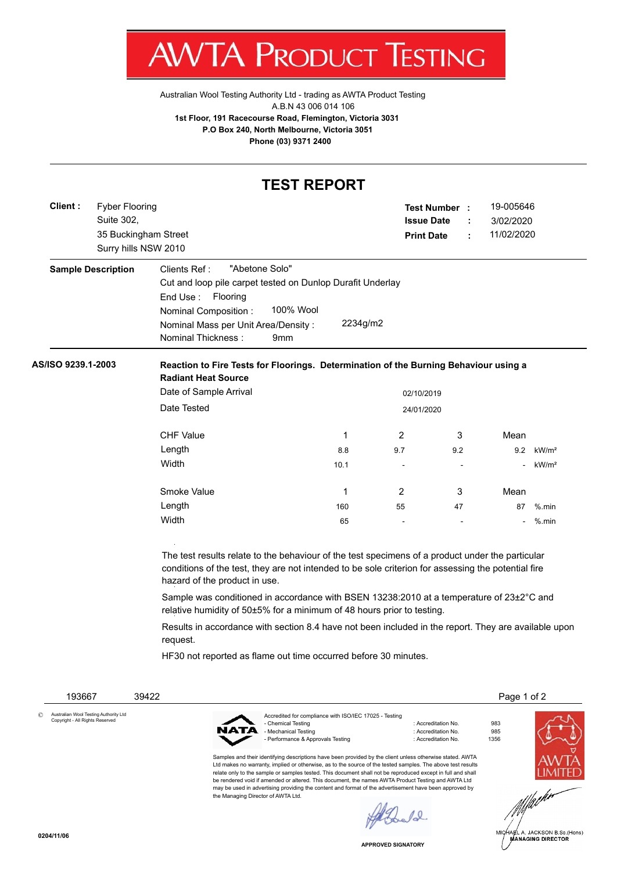

Australian Wool Testing Authority Ltd - trading as AWTA Product Testing A.B.N 43 006 014 106 **1st Floor, 191 Racecourse Road, Flemington, Victoria 3031 P.O Box 240, North Melbourne, Victoria 3051 Phone (03) 9371 2400**

## **TEST REPORT**

| Client:                         | <b>Fyber Flooring</b><br>Suite 302,<br>35 Buckingham Street<br>Surry hills NSW 2010 |                                                                                                                                                                                                                                          |                                                                                                                                         |            | Test Number :<br><b>Issue Date</b><br><b>Print Date</b>           | ÷ | 19-005646<br>3/02/2020<br>11/02/2020 |                   |  |  |  |  |
|---------------------------------|-------------------------------------------------------------------------------------|------------------------------------------------------------------------------------------------------------------------------------------------------------------------------------------------------------------------------------------|-----------------------------------------------------------------------------------------------------------------------------------------|------------|-------------------------------------------------------------------|---|--------------------------------------|-------------------|--|--|--|--|
|                                 | <b>Sample Description</b>                                                           | "Abetone Solo"<br>Clients Ref:<br>Cut and loop pile carpet tested on Dunlop Durafit Underlay<br>End Use:<br>Flooring<br>100% Wool<br>Nominal Composition:                                                                                |                                                                                                                                         |            |                                                                   |   |                                      |                   |  |  |  |  |
|                                 |                                                                                     | Nominal Mass per Unit Area/Density:<br>Nominal Thickness:                                                                                                                                                                                | 9mm                                                                                                                                     | 2234g/m2   |                                                                   |   |                                      |                   |  |  |  |  |
| AS/ISO 9239.1-2003              |                                                                                     | <b>Radiant Heat Source</b>                                                                                                                                                                                                               | Reaction to Fire Tests for Floorings. Determination of the Burning Behaviour using a                                                    |            |                                                                   |   |                                      |                   |  |  |  |  |
|                                 |                                                                                     | Date of Sample Arrival                                                                                                                                                                                                                   |                                                                                                                                         |            | 02/10/2019                                                        |   |                                      |                   |  |  |  |  |
|                                 |                                                                                     | Date Tested                                                                                                                                                                                                                              | 24/01/2020                                                                                                                              |            |                                                                   |   |                                      |                   |  |  |  |  |
|                                 |                                                                                     | <b>CHF Value</b>                                                                                                                                                                                                                         |                                                                                                                                         | 1          | 2<br>3                                                            |   | Mean                                 |                   |  |  |  |  |
|                                 |                                                                                     | Length                                                                                                                                                                                                                                   |                                                                                                                                         | 9.7<br>8.8 | 9.2                                                               |   | 9.2                                  | kW/m <sup>2</sup> |  |  |  |  |
|                                 |                                                                                     | Width                                                                                                                                                                                                                                    | 10.1                                                                                                                                    |            |                                                                   |   |                                      | kW/m <sup>2</sup> |  |  |  |  |
|                                 |                                                                                     | Smoke Value                                                                                                                                                                                                                              |                                                                                                                                         | 1          | 2<br>3                                                            |   | Mean                                 |                   |  |  |  |  |
|                                 |                                                                                     | Length                                                                                                                                                                                                                                   | 160                                                                                                                                     | 55         | 47                                                                |   | 87                                   | $%$ .min          |  |  |  |  |
|                                 |                                                                                     | Width                                                                                                                                                                                                                                    |                                                                                                                                         | 65         |                                                                   |   |                                      | $%$ .min          |  |  |  |  |
|                                 |                                                                                     | The test results relate to the behaviour of the test specimens of a product under the particular<br>conditions of the test, they are not intended to be sole criterion for assessing the potential fire<br>hazard of the product in use. |                                                                                                                                         |            |                                                                   |   |                                      |                   |  |  |  |  |
|                                 |                                                                                     | Sample was conditioned in accordance with BSEN 13238:2010 at a temperature of 23±2°C and<br>relative humidity of 50±5% for a minimum of 48 hours prior to testing.                                                                       |                                                                                                                                         |            |                                                                   |   |                                      |                   |  |  |  |  |
|                                 |                                                                                     | Results in accordance with section 8.4 have not been included in the report. They are available upon<br>request.                                                                                                                         |                                                                                                                                         |            |                                                                   |   |                                      |                   |  |  |  |  |
|                                 |                                                                                     |                                                                                                                                                                                                                                          | HF30 not reported as flame out time occurred before 30 minutes.                                                                         |            |                                                                   |   |                                      |                   |  |  |  |  |
| 193667                          |                                                                                     | 39422                                                                                                                                                                                                                                    |                                                                                                                                         |            |                                                                   |   | Page 1 of 2                          |                   |  |  |  |  |
|                                 | Australian Wool Testing Authority Ltd                                               |                                                                                                                                                                                                                                          |                                                                                                                                         |            |                                                                   |   |                                      |                   |  |  |  |  |
| Copyright - All Rights Reserved |                                                                                     |                                                                                                                                                                                                                                          | Accredited for compliance with ISO/IEC 17025 - Testing<br>- Chemical Testing<br>- Mechanical Testing<br>Performance & Approvals Testing |            | : Accreditation No.<br>: Accreditation No.<br>: Accreditation No. |   | 983<br>985<br>1356                   |                   |  |  |  |  |
|                                 |                                                                                     |                                                                                                                                                                                                                                          | Samples and their identifying descriptions have been provided by the client unless otherwise stated. AWTA                               |            |                                                                   |   |                                      |                   |  |  |  |  |

Ltd makes no warranty, implied or otherwise, as to the source of the tested samples. The above test results relate only to the sample or samples tested. This document shall not be reproduced except in full and shall be rendered void if amended or altered. This document, the names AWTA Product Testing and AWTA Ltd may be used in advertising providing the content and format of the advertisement have been approved by the Managing Director of AWTA Ltd.

Forelal



**LIMITED**